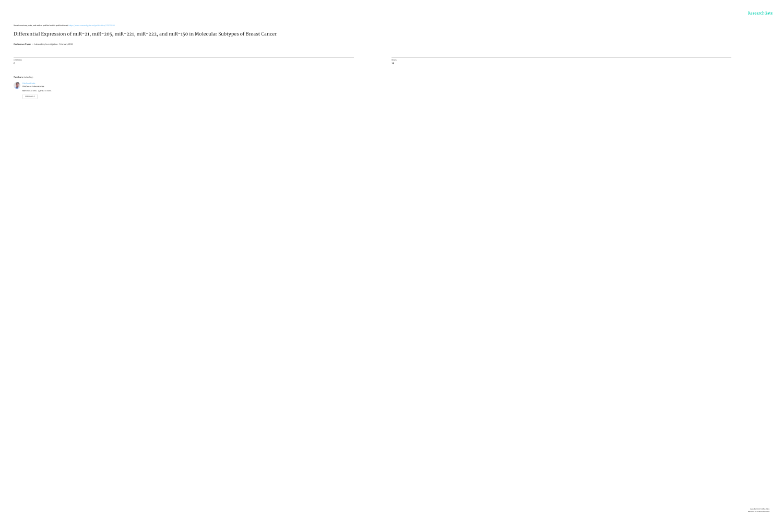**7 authors**, including: [Krishan](https://www.researchgate.net/profile/Krishan_Kalra?enrichId=rgreq-fee125ea21d234a8dcbd57d2b63f6273-XXX&enrichSource=Y292ZXJQYWdlOzI3Mzc3NjY4MztBUzoyMDk0MTE2MjU3NTQ2MjVAMTQyNjkzOTAzMDA2MQ%3D%3D&el=1_x_5) Kalra

BioGenex [Laboratories](https://www.researchgate.net/institution/BioGenex_Laboratories?enrichId=rgreq-fee125ea21d234a8dcbd57d2b63f6273-XXX&enrichSource=Y292ZXJQYWdlOzI3Mzc3NjY4MztBUzoyMDk0MTE2MjU3NTQ2MjVAMTQyNjkzOTAzMDA2MQ%3D%3D&el=1_x_6) **64** PUBLICATIONS **2,474** CITATIONS SEE [PROFILE](https://www.researchgate.net/profile/Krishan_Kalra?enrichId=rgreq-fee125ea21d234a8dcbd57d2b63f6273-XXX&enrichSource=Y292ZXJQYWdlOzI3Mzc3NjY4MztBUzoyMDk0MTE2MjU3NTQ2MjVAMTQyNjkzOTAzMDA2MQ%3D%3D&el=1_x_7)

See discussions, stats, and author profiles for this publication at: [https://www.researchgate.net/publication/273776683](https://www.researchgate.net/publication/273776683_Differential_Expression_of_miR-21_miR-205_miR-221_miR-222_and_miR-150_in_Molecular_Subtypes_of_Breast_Cancer?enrichId=rgreq-fee125ea21d234a8dcbd57d2b63f6273-XXX&enrichSource=Y292ZXJQYWdlOzI3Mzc3NjY4MztBUzoyMDk0MTE2MjU3NTQ2MjVAMTQyNjkzOTAzMDA2MQ%3D%3D&el=1_x_2)

#### [Differential](https://www.researchgate.net/publication/273776683_Differential_Expression_of_miR-21_miR-205_miR-221_miR-222_and_miR-150_in_Molecular_Subtypes_of_Breast_Cancer?enrichId=rgreq-fee125ea21d234a8dcbd57d2b63f6273-XXX&enrichSource=Y292ZXJQYWdlOzI3Mzc3NjY4MztBUzoyMDk0MTE2MjU3NTQ2MjVAMTQyNjkzOTAzMDA2MQ%3D%3D&el=1_x_3) Expression of miR-21, miR-205, miR-221, miR-222, and miR-150 in Molecular Subtypes of Breast Cancer

**Conference Paper** in Laboratory Investigation · February 2013

CITATIONS 0

READS 18

**Contract Contract** 

Available from: Krishan Kalra Retrieved on: 02 November 2016